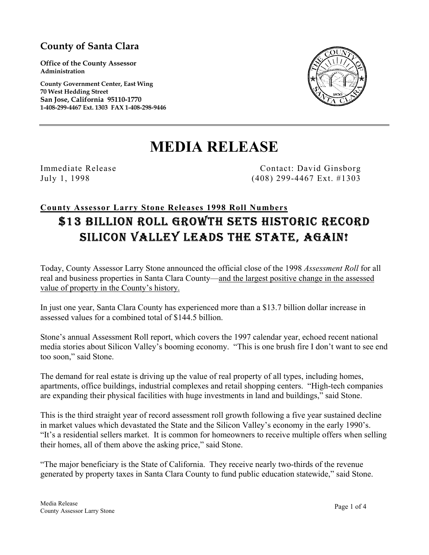### **County of Santa Clara**

**Office of the County Assessor Administration** 

**County Government Center, East Wing 70 West Hedding Street San Jose, California 95110-1770 1-408-299-4467 Ext. 1303 FAX 1-408-298-9446** 



# **MEDIA RELEASE**

Immediate Release Contact: David Ginsborg July 1, 1998 (408) 299-4467 Ext. #1303

## **County Assessor Larry Stone Releases 1998 Roll Numbers** \$13 BILLION ROLL GROWTH SETS HISTORIC RECORD SILICON VALLEY LEADS THE STATE, AGAIN!

Today, County Assessor Larry Stone announced the official close of the 1998 *Assessment Roll* for all real and business properties in Santa Clara County—and the largest positive change in the assessed value of property in the County's history.

In just one year, Santa Clara County has experienced more than a \$13.7 billion dollar increase in assessed values for a combined total of \$144.5 billion.

Stone's annual Assessment Roll report, which covers the 1997 calendar year, echoed recent national media stories about Silicon Valley's booming economy. "This is one brush fire I don't want to see end too soon," said Stone.

The demand for real estate is driving up the value of real property of all types, including homes, apartments, office buildings, industrial complexes and retail shopping centers. "High-tech companies are expanding their physical facilities with huge investments in land and buildings," said Stone.

This is the third straight year of record assessment roll growth following a five year sustained decline in market values which devastated the State and the Silicon Valley's economy in the early 1990's. "It's a residential sellers market. It is common for homeowners to receive multiple offers when selling their homes, all of them above the asking price," said Stone.

"The major beneficiary is the State of California. They receive nearly two-thirds of the revenue generated by property taxes in Santa Clara County to fund public education statewide," said Stone.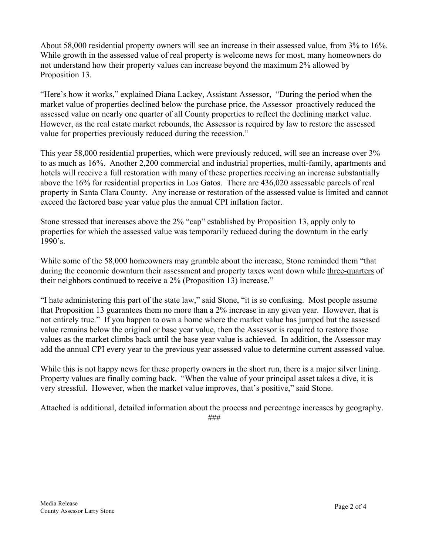About 58,000 residential property owners will see an increase in their assessed value, from 3% to 16%. While growth in the assessed value of real property is welcome news for most, many homeowners do not understand how their property values can increase beyond the maximum 2% allowed by Proposition 13.

"Here's how it works," explained Diana Lackey, Assistant Assessor, "During the period when the market value of properties declined below the purchase price, the Assessor proactively reduced the assessed value on nearly one quarter of all County properties to reflect the declining market value. However, as the real estate market rebounds, the Assessor is required by law to restore the assessed value for properties previously reduced during the recession."

This year 58,000 residential properties, which were previously reduced, will see an increase over 3% to as much as 16%. Another 2,200 commercial and industrial properties, multi-family, apartments and hotels will receive a full restoration with many of these properties receiving an increase substantially above the 16% for residential properties in Los Gatos. There are 436,020 assessable parcels of real property in Santa Clara County. Any increase or restoration of the assessed value is limited and cannot exceed the factored base year value plus the annual CPI inflation factor.

Stone stressed that increases above the 2% "cap" established by Proposition 13, apply only to properties for which the assessed value was temporarily reduced during the downturn in the early 1990's.

While some of the 58,000 homeowners may grumble about the increase, Stone reminded them "that during the economic downturn their assessment and property taxes went down while three-quarters of their neighbors continued to receive a 2% (Proposition 13) increase."

"I hate administering this part of the state law," said Stone, "it is so confusing. Most people assume that Proposition 13 guarantees them no more than a 2% increase in any given year. However, that is not entirely true." If you happen to own a home where the market value has jumped but the assessed value remains below the original or base year value, then the Assessor is required to restore those values as the market climbs back until the base year value is achieved. In addition, the Assessor may add the annual CPI every year to the previous year assessed value to determine current assessed value.

While this is not happy news for these property owners in the short run, there is a major silver lining. Property values are finally coming back. "When the value of your principal asset takes a dive, it is very stressful. However, when the market value improves, that's positive," said Stone.

Attached is additional, detailed information about the process and percentage increases by geography.

###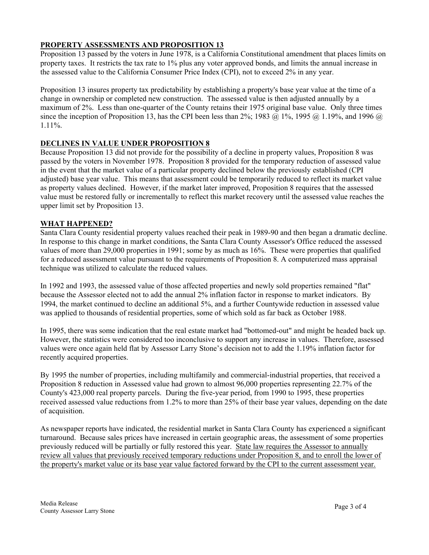#### **PROPERTY ASSESSMENTS AND PROPOSITION 13**

Proposition 13 passed by the voters in June 1978, is a California Constitutional amendment that places limits on property taxes. It restricts the tax rate to 1% plus any voter approved bonds, and limits the annual increase in the assessed value to the California Consumer Price Index (CPI), not to exceed 2% in any year.

Proposition 13 insures property tax predictability by establishing a property's base year value at the time of a change in ownership or completed new construction. The assessed value is then adjusted annually by a maximum of 2%. Less than one-quarter of the County retains their 1975 original base value. Only three times since the inception of Proposition 13, has the CPI been less than 2%; 1983 @ 1%, 1995 @ 1.19%, and 1996 @ 1.11%.

#### **DECLINES IN VALUE UNDER PROPOSITION 8**

Because Proposition 13 did not provide for the possibility of a decline in property values, Proposition 8 was passed by the voters in November 1978. Proposition 8 provided for the temporary reduction of assessed value in the event that the market value of a particular property declined below the previously established (CPI adjusted) base year value. This means that assessment could be temporarily reduced to reflect its market value as property values declined. However, if the market later improved, Proposition 8 requires that the assessed value must be restored fully or incrementally to reflect this market recovery until the assessed value reaches the upper limit set by Proposition 13.

#### **WHAT HAPPENED?**

Santa Clara County residential property values reached their peak in 1989-90 and then began a dramatic decline. In response to this change in market conditions, the Santa Clara County Assessor's Office reduced the assessed values of more than 29,000 properties in 1991; some by as much as 16%. These were properties that qualified for a reduced assessment value pursuant to the requirements of Proposition 8. A computerized mass appraisal technique was utilized to calculate the reduced values.

In 1992 and 1993, the assessed value of those affected properties and newly sold properties remained "flat" because the Assessor elected not to add the annual 2% inflation factor in response to market indicators. By 1994, the market continued to decline an additional 5%, and a further Countywide reduction in assessed value was applied to thousands of residential properties, some of which sold as far back as October 1988.

In 1995, there was some indication that the real estate market had "bottomed-out" and might be headed back up. However, the statistics were considered too inconclusive to support any increase in values. Therefore, assessed values were once again held flat by Assessor Larry Stone's decision not to add the 1.19% inflation factor for recently acquired properties.

By 1995 the number of properties, including multifamily and commercial-industrial properties, that received a Proposition 8 reduction in Assessed value had grown to almost 96,000 properties representing 22.7% of the County's 423,000 real property parcels. During the five-year period, from 1990 to 1995, these properties received assessed value reductions from 1.2% to more than 25% of their base year values, depending on the date of acquisition.

As newspaper reports have indicated, the residential market in Santa Clara County has experienced a significant turnaround. Because sales prices have increased in certain geographic areas, the assessment of some properties previously reduced will be partially or fully restored this year. State law requires the Assessor to annually review all values that previously received temporary reductions under Proposition 8, and to enroll the lower of the property's market value or its base year value factored forward by the CPI to the current assessment year.